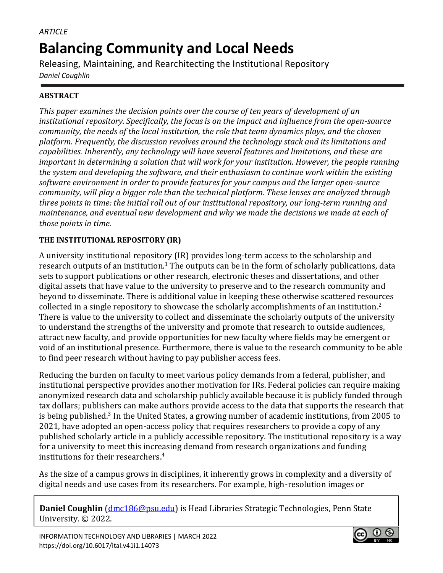# *ARTICLE* **Balancing Community and Local Needs**

Releasing, Maintaining, and Rearchitecting the Institutional Repository *Daniel Coughlin*

# **ABSTRACT**

*This paper examines the decision points over the course of ten years of development of an institutional repository. Specifically, the focus is on the impact and influence from the open-source community, the needs of the local institution, the role that team dynamics plays, and the chosen platform. Frequently, the discussion revolves around the technology stack and its limitations and capabilities. Inherently, any technology will have several features and limitations, and these are important in determining a solution that will work for your institution. However, the people running the system and developing the software, and their enthusiasm to continue work within the existing software environment in order to provide features for your campus and the larger open-source community, will play a bigger role than the technical platform. These lenses are analyzed through three points in time: the initial roll out of our institutional repository, our long-term running and maintenance, and eventual new development and why we made the decisions we made at each of those points in time.*

## **THE INSTITUTIONAL REPOSITORY (IR)**

A university institutional repository (IR) provides long-term access to the scholarship and research outputs of an institution. $^1$  The outputs can be in the form of scholarly publications, data sets to support publications or other research, electronic theses and dissertations, and other digital assets that have value to the university to preserve and to the research community and beyond to disseminate. There is additional value in keeping these otherwise scattered resources collected in a single repository to showcase the scholarly accomplishments of an institution.<sup>2</sup> There is value to the university to collect and disseminate the scholarly outputs of the university to understand the strengths of the university and promote that research to outside audiences, attract new faculty, and provide opportunities for new faculty where fields may be emergent or void of an institutional presence. Furthermore, there is value to the research community to be able to find peer research without having to pay publisher access fees.

Reducing the burden on faculty to meet various policy demands from a federal, publisher, and institutional perspective provides another motivation for IRs. Federal policies can require making anonymized research data and scholarship publicly available because it is publicly funded through tax dollars; publishers can make authors provide access to the data that supports the research that is being published.<sup>3</sup> In the United States, a growing number of academic institutions, from 2005 to 2021, have adopted an open-access policy that requires researchers to provide a copy of any published scholarly article in a publicly accessible repository. The institutional repository is a way for a university to meet this increasing demand from research organizations and funding institutions for their researchers. 4

As the size of a campus grows in disciplines, it inherently grows in complexity and a diversity of digital needs and use cases from its researchers. For example, high-resolution images or

**Daniel Coughlin** [\(dmc186@psu.edu\)](mailto:dmc186@psu.edu) is Head Libraries Strategic Technologies, Penn State University. © 2022.

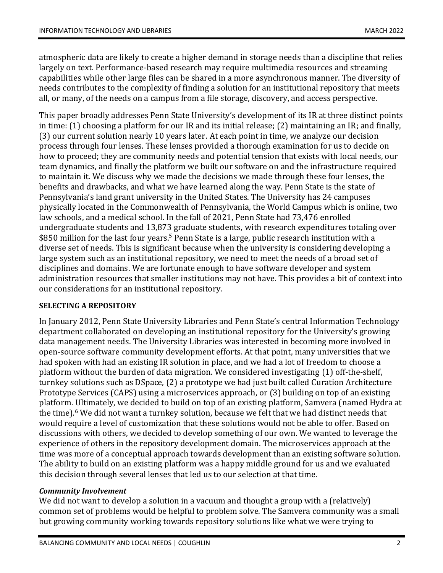atmospheric data are likely to create a higher demand in storage needs than a discipline that relies largely on text. Performance-based research may require multimedia resources and streaming capabilities while other large files can be shared in a more asynchronous manner. The diversity of needs contributes to the complexity of finding a solution for an institutional repository that meets all, or many, of the needs on a campus from a file storage, discovery, and access perspective.

This paper broadly addresses Penn State University's development of its IR at three distinct points in time: (1) choosing a platform for our IR and its initial release; (2) maintaining an IR; and finally, (3) our current solution nearly 10 years later. At each point in time, we analyze our decision process through four lenses. These lenses provided a thorough examination for us to decide on how to proceed; they are community needs and potential tension that exists with local needs, our team dynamics, and finally the platform we built our software on and the infrastructure required to maintain it. We discuss why we made the decisions we made through these four lenses, the benefits and drawbacks, and what we have learned along the way. Penn State is the state of Pennsylvania's land grant university in the United States. The University has 24 campuses physically located in the Commonwealth of Pennsylvania, the World Campus which is online, two law schools, and a medical school. In the fall of 2021, Penn State had 73,476 enrolled undergraduate students and 13,873 graduate students, with research expenditures totaling over \$850 million for the last four years.<sup>5</sup> Penn State is a large, public research institution with a diverse set of needs. This is significant because when the university is considering developing a large system such as an institutional repository, we need to meet the needs of a broad set of disciplines and domains. We are fortunate enough to have software developer and system administration resources that smaller institutions may not have. This provides a bit of context into our considerations for an institutional repository.

## **SELECTING A REPOSITORY**

In January 2012, Penn State University Libraries and Penn State's central Information Technology department collaborated on developing an institutional repository for the University's growing data management needs. The University Libraries was interested in becoming more involved in open-source software community development efforts. At that point, many universities that we had spoken with had an existing IR solution in place, and we had a lot of freedom to choose a platform without the burden of data migration. We considered investigating (1) off-the-shelf, turnkey solutions such as DSpace, (2) a prototype we had just built called Curation Architecture Prototype Services (CAPS) using a microservices approach, or (3) building on top of an existing platform. Ultimately, we decided to build on top of an existing platform, Samvera (named Hydra at the time).<sup>6</sup> We did not want a turnkey solution, because we felt that we had distinct needs that would require a level of customization that these solutions would not be able to offer. Based on discussions with others, we decided to develop something of our own. We wanted to leverage the experience of others in the repository development domain. The microservices approach at the time was more of a conceptual approach towards development than an existing software solution. The ability to build on an existing platform was a happy middle ground for us and we evaluated this decision through several lenses that led us to our selection at that time.

#### *Community Involvement*

We did not want to develop a solution in a vacuum and thought a group with a (relatively) common set of problems would be helpful to problem solve. The Samvera community was a small but growing community working towards repository solutions like what we were trying to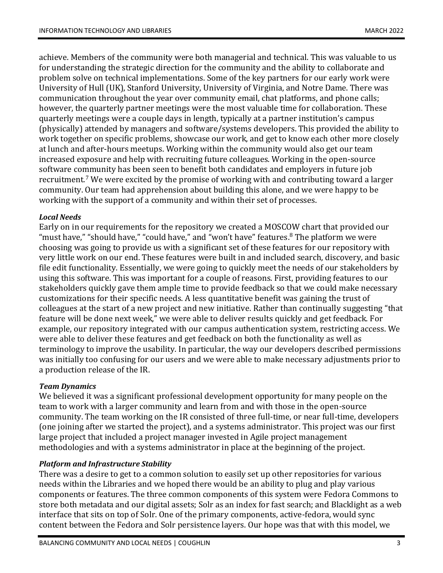achieve. Members of the community were both managerial and technical. This was valuable to us for understanding the strategic direction for the community and the ability to collaborate and problem solve on technical implementations. Some of the key partners for our early work were University of Hull (UK), Stanford University, University of Virginia, and Notre Dame. There was communication throughout the year over community email, chat platforms, and phone calls; however, the quarterly partner meetings were the most valuable time for collaboration. These quarterly meetings were a couple days in length, typically at a partner institution's campus (physically) attended by managers and software/systems developers. This provided the ability to work together on specific problems, showcase our work, and get to know each other more closely at lunch and after-hours meetups. Working within the community would also get our team increased exposure and help with recruiting future colleagues. Working in the open-source software community has been seen to benefit both candidates and employers in future job recruitment.<sup>7</sup> We were excited by the promise of working with and contributing toward a larger community. Our team had apprehension about building this alone, and we were happy to be working with the support of a community and within their set of processes.

## *Local Needs*

Early on in our requirements for the repository we created a MOSCOW chart that provided our "must have," "should have," "could have," and "won't have" features. $8$  The platform we were choosing was going to provide us with a significant set of these features for our repository with very little work on our end. These features were built in and included search, discovery, and basic file edit functionality. Essentially, we were going to quickly meet the needs of our stakeholders by using this software. This was important for a couple of reasons. First, providing features to our stakeholders quickly gave them ample time to provide feedback so that we could make necessary customizations for their specific needs. A less quantitative benefit was gaining the trust of colleagues at the start of a new project and new initiative. Rather than continually suggesting "that feature will be done next week," we were able to deliver results quickly and get feedback. For example, our repository integrated with our campus authentication system, restricting access. We were able to deliver these features and get feedback on both the functionality as well as terminology to improve the usability. In particular, the way our developers described permissions was initially too confusing for our users and we were able to make necessary adjustments prior to a production release of the IR.

## *Team Dynamics*

We believed it was a significant professional development opportunity for many people on the team to work with a larger community and learn from and with those in the open-source community. The team working on the IR consisted of three full-time, or near full-time, developers (one joining after we started the project), and a systems administrator. This project was our first large project that included a project manager invested in Agile project management methodologies and with a systems administrator in place at the beginning of the project.

## *Platform and Infrastructure Stability*

There was a desire to get to a common solution to easily set up other repositories for various needs within the Libraries and we hoped there would be an ability to plug and play various components or features. The three common components of this system were Fedora Commons to store both metadata and our digital assets; Solr as an index for fast search; and Blacklight as a web interface that sits on top of Solr. One of the primary components, active-fedora, would sync content between the Fedora and Solr persistence layers. Our hope was that with this model, we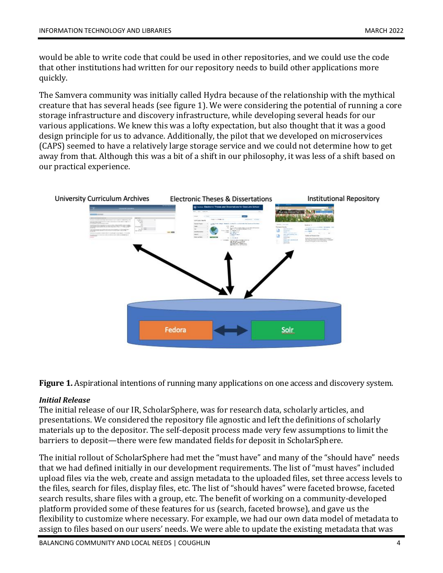would be able to write code that could be used in other repositories, and we could use the code that other institutions had written for our repository needs to build other applications more quickly.

The Samvera community was initially called Hydra because of the relationship with the mythical creature that has several heads (see figure 1). We were considering the potential of running a core storage infrastructure and discovery infrastructure, while developing several heads for our various applications. We knew this was a lofty expectation, but also thought that it was a good design principle for us to advance. Additionally, the pilot that we developed on microservices (CAPS) seemed to have a relatively large storage service and we could not determine how to get away from that. Although this was a bit of a shift in our philosophy, it was less of a shift based on our practical experience.



**Figure 1.** Aspirational intentions of running many applications on one access and discovery system.

#### *Initial Release*

The initial release of our IR, ScholarSphere, was for research data, scholarly articles, and presentations. We considered the repository file agnostic and left the definitions of scholarly materials up to the depositor. The self-deposit process made very few assumptions to limit the barriers to deposit—there were few mandated fields for deposit in ScholarSphere.

The initial rollout of ScholarSphere had met the "must have" and many of the "should have" needs that we had defined initially in our development requirements. The list of "must haves" included upload files via the web, create and assign metadata to the uploaded files, set three access levels to the files, search for files, display files, etc. The list of "should haves" were faceted browse, faceted search results, share files with a group, etc. The benefit of working on a community-developed platform provided some of these features for us (search, faceted browse), and gave us the flexibility to customize where necessary. For example, we had our own data model of metadata to assign to files based on our users' needs. We were able to update the existing metadata that was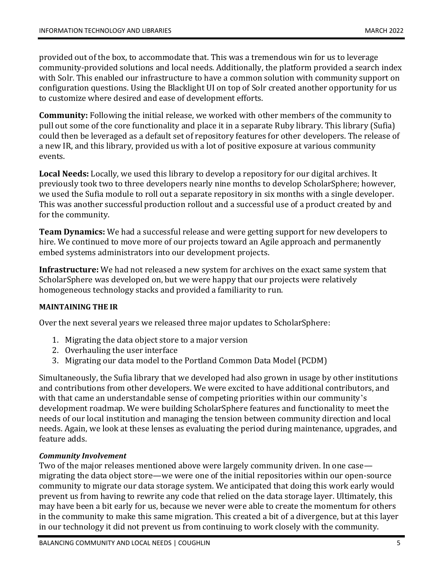provided out of the box, to accommodate that. This was a tremendous win for us to leverage community-provided solutions and local needs. Additionally, the platform provided a search index with Solr. This enabled our infrastructure to have a common solution with community support on configuration questions. Using the Blacklight UI on top of Solr created another opportunity for us to customize where desired and ease of development efforts.

**Community:** Following the initial release, we worked with other members of the community to pull out some of the core functionality and place it in a separate Ruby library. This library (Sufia) could then be leveraged as a default set of repository features for other developers. The release of a new IR, and this library, provided us with a lot of positive exposure at various community events.

**Local Needs:** Locally, we used this library to develop a repository for our digital archives. It previously took two to three developers nearly nine months to develop ScholarSphere; however, we used the Sufia module to roll out a separate repository in six months with a single developer. This was another successful production rollout and a successful use of a product created by and for the community.

**Team Dynamics:** We had a successful release and were getting support for new developers to hire. We continued to move more of our projects toward an Agile approach and permanently embed systems administrators into our development projects.

**Infrastructure:** We had not released a new system for archives on the exact same system that ScholarSphere was developed on, but we were happy that our projects were relatively homogeneous technology stacks and provided a familiarity to run.

## **MAINTAINING THE IR**

Over the next several years we released three major updates to ScholarSphere:

- 1. Migrating the data object store to a major version
- 2. Overhauling the user interface
- 3. Migrating our data model to the Portland Common Data Model (PCDM)

Simultaneously, the Sufia library that we developed had also grown in usage by other institutions and contributions from other developers. We were excited to have additional contributors, and with that came an understandable sense of competing priorities within our community's development roadmap. We were building ScholarSphere features and functionality to meet the needs of our local institution and managing the tension between community direction and local needs. Again, we look at these lenses as evaluating the period during maintenance, upgrades, and feature adds.

## *Community Involvement*

Two of the major releases mentioned above were largely community driven. In one case migrating the data object store—we were one of the initial repositories within our open-source community to migrate our data storage system. We anticipated that doing this work early would prevent us from having to rewrite any code that relied on the data storage layer. Ultimately, this may have been a bit early for us, because we never were able to create the momentum for others in the community to make this same migration. This created a bit of a divergence, but at this layer in our technology it did not prevent us from continuing to work closely with the community.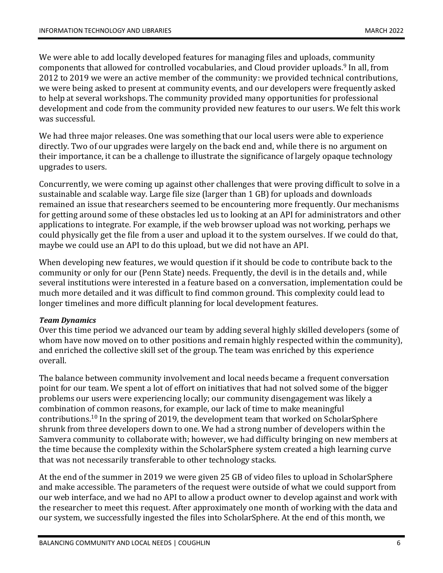We were able to add locally developed features for managing files and uploads, community components that allowed for controlled vocabularies, and Cloud provider uploads.<sup>9</sup> In all, from 2012 to 2019 we were an active member of the community: we provided technical contributions, we were being asked to present at community events, and our developers were frequently asked to help at several workshops. The community provided many opportunities for professional development and code from the community provided new features to our users. We felt this work was successful.

We had three major releases. One was something that our local users were able to experience directly. Two of our upgrades were largely on the back end and, while there is no argument on their importance, it can be a challenge to illustrate the significance of largely opaque technology upgrades to users.

Concurrently, we were coming up against other challenges that were proving difficult to solve in a sustainable and scalable way. Large file size (larger than 1 GB) for uploads and downloads remained an issue that researchers seemed to be encountering more frequently. Our mechanisms for getting around some of these obstacles led us to looking at an API for administrators and other applications to integrate. For example, if the web browser upload was not working, perhaps we could physically get the file from a user and upload it to the system ourselves. If we could do that, maybe we could use an API to do this upload, but we did not have an API.

When developing new features, we would question if it should be code to contribute back to the community or only for our (Penn State) needs. Frequently, the devil is in the details and, while several institutions were interested in a feature based on a conversation, implementation could be much more detailed and it was difficult to find common ground. This complexity could lead to longer timelines and more difficult planning for local development features.

## *Team Dynamics*

Over this time period we advanced our team by adding several highly skilled developers (some of whom have now moved on to other positions and remain highly respected within the community), and enriched the collective skill set of the group. The team was enriched by this experience overall.

The balance between community involvement and local needs became a frequent conversation point for our team. We spent a lot of effort on initiatives that had not solved some of the bigger problems our users were experiencing locally; our community disengagement was likely a combination of common reasons, for example, our lack of time to make meaningful contributions. <sup>10</sup> In the spring of 2019, the development team that worked on ScholarSphere shrunk from three developers down to one. We had a strong number of developers within the Samvera community to collaborate with; however, we had difficulty bringing on new members at the time because the complexity within the ScholarSphere system created a high learning curve that was not necessarily transferable to other technology stacks.

At the end of the summer in 2019 we were given 25 GB of video files to upload in ScholarSphere and make accessible. The parameters of the request were outside of what we could support from our web interface, and we had no API to allow a product owner to develop against and work with the researcher to meet this request. After approximately one month of working with the data and our system, we successfully ingested the files into ScholarSphere. At the end of this month, we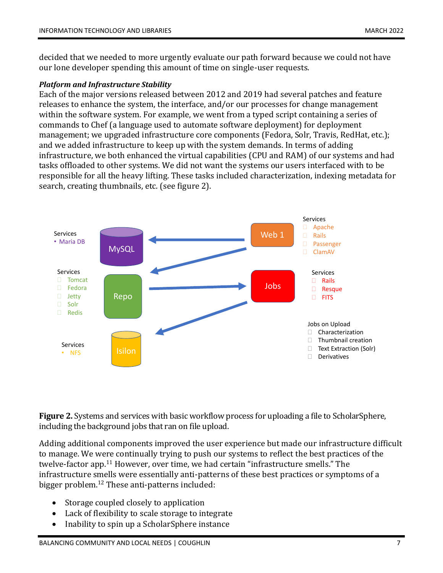decided that we needed to more urgently evaluate our path forward because we could not have our lone developer spending this amount of time on single-user requests.

#### *Platform and Infrastructure Stability*

Each of the major versions released between 2012 and 2019 had several patches and feature releases to enhance the system, the interface, and/or our processes for change management within the software system. For example, we went from a typed script containing a series of commands to Chef (a language used to automate software deployment) for deployment management; we upgraded infrastructure core components (Fedora, Solr, Travis, RedHat, etc.); and we added infrastructure to keep up with the system demands. In terms of adding infrastructure, we both enhanced the virtual capabilities (CPU and RAM) of our systems and had tasks offloaded to other systems. We did not want the systems our users interfaced with to be responsible for all the heavy lifting. These tasks included characterization, indexing metadata for search, creating thumbnails, etc. (see figure 2).



**Figure 2.** Systems and services with basic workflow process for uploading a file to ScholarSphere, including the background jobs that ran on file upload.

Adding additional components improved the user experience but made our infrastructure difficult to manage. We were continually trying to push our systems to reflect the best practices of the twelve-factor app.<sup>11</sup> However, over time, we had certain "infrastructure smells." The infrastructure smells were essentially anti-patterns of these best practices or symptoms of a bigger problem. <sup>12</sup> These anti-patterns included:

- Storage coupled closely to application
- Lack of flexibility to scale storage to integrate
- Inability to spin up a ScholarSphere instance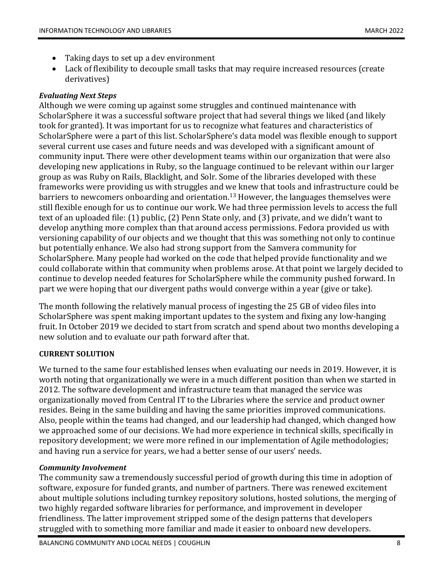- Taking days to set up a dev environment
- Lack of flexibility to decouple small tasks that may require increased resources (create derivatives)

## *Evaluating Next Steps*

Although we were coming up against some struggles and continued maintenance with ScholarSphere it was a successful software project that had several things we liked (and likely took for granted). It was important for us to recognize what features and characteristics of ScholarSphere were a part of this list. ScholarSphere's data model was flexible enough to support several current use cases and future needs and was developed with a significant amount of community input. There were other development teams within our organization that were also developing new applications in Ruby, so the language continued to be relevant within our larger group as was Ruby on Rails, Blacklight, and Solr. Some of the libraries developed with these frameworks were providing us with struggles and we knew that tools and infrastructure could be barriers to newcomers onboarding and orientation.<sup>13</sup> However, the languages themselves were still flexible enough for us to continue our work. We had three permission levels to access the full text of an uploaded file: (1) public, (2) Penn State only, and (3) private, and we didn't want to develop anything more complex than that around access permissions. Fedora provided us with versioning capability of our objects and we thought that this was something not only to continue but potentially enhance. We also had strong support from the Samvera community for ScholarSphere. Many people had worked on the code that helped provide functionality and we could collaborate within that community when problems arose. At that point we largely decided to continue to develop needed features for ScholarSphere while the community pushed forward. In part we were hoping that our divergent paths would converge within a year (give or take).

The month following the relatively manual process of ingesting the 25 GB of video files into ScholarSphere was spent making important updates to the system and fixing any low-hanging fruit. In October 2019 we decided to start from scratch and spend about two months developing a new solution and to evaluate our path forward after that.

## **CURRENT SOLUTION**

We turned to the same four established lenses when evaluating our needs in 2019. However, it is worth noting that organizationally we were in a much different position than when we started in 2012. The software development and infrastructure team that managed the service was organizationally moved from Central IT to the Libraries where the service and product owner resides. Being in the same building and having the same priorities improved communications. Also, people within the teams had changed, and our leadership had changed, which changed how we approached some of our decisions. We had more experience in technical skills, specifically in repository development; we were more refined in our implementation of Agile methodologies; and having run a service for years, we had a better sense of our users' needs.

## *Community Involvement*

The community saw a tremendously successful period of growth during this time in adoption of software, exposure for funded grants, and number of partners. There was renewed excitement about multiple solutions including turnkey repository solutions, hosted solutions, the merging of two highly regarded software libraries for performance, and improvement in developer friendliness. The latter improvement stripped some of the design patterns that developers struggled with to something more familiar and made it easier to onboard new developers.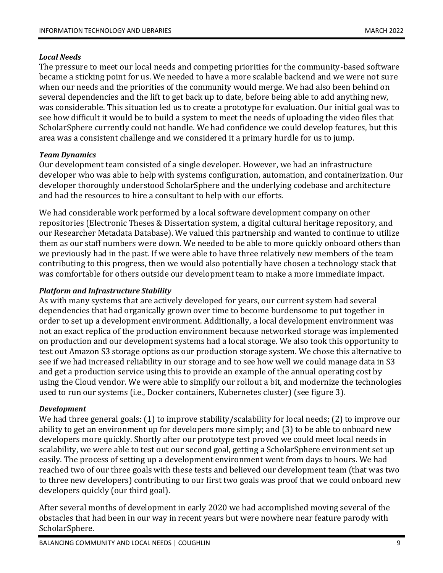## *Local Needs*

The pressure to meet our local needs and competing priorities for the community-based software became a sticking point for us. We needed to have a more scalable backend and we were not sure when our needs and the priorities of the community would merge. We had also been behind on several dependencies and the lift to get back up to date, before being able to add anything new, was considerable. This situation led us to create a prototype for evaluation. Our initial goal was to see how difficult it would be to build a system to meet the needs of uploading the video files that ScholarSphere currently could not handle. We had confidence we could develop features, but this area was a consistent challenge and we considered it a primary hurdle for us to jump.

## *Team Dynamics*

Our development team consisted of a single developer. However, we had an infrastructure developer who was able to help with systems configuration, automation, and containerization. Our developer thoroughly understood ScholarSphere and the underlying codebase and architecture and had the resources to hire a consultant to help with our efforts.

We had considerable work performed by a local software development company on other repositories (Electronic Theses & Dissertation system, a digital cultural heritage repository, and our Researcher Metadata Database). We valued this partnership and wanted to continue to utilize them as our staff numbers were down. We needed to be able to more quickly onboard others than we previously had in the past. If we were able to have three relatively new members of the team contributing to this progress, then we would also potentially have chosen a technology stack that was comfortable for others outside our development team to make a more immediate impact.

## *Platform and Infrastructure Stability*

As with many systems that are actively developed for years, our current system had several dependencies that had organically grown over time to become burdensome to put together in order to set up a development environment. Additionally, a local development environment was not an exact replica of the production environment because networked storage was implemented on production and our development systems had a local storage. We also took this opportunity to test out Amazon S3 storage options as our production storage system. We chose this alternative to see if we had increased reliability in our storage and to see how well we could manage data in S3 and get a production service using this to provide an example of the annual operating cost by using the Cloud vendor. We were able to simplify our rollout a bit, and modernize the technologies used to run our systems (i.e., Docker containers, Kubernetes cluster) (see figure 3).

## *Development*

We had three general goals: (1) to improve stability/scalability for local needs; (2) to improve our ability to get an environment up for developers more simply; and (3) to be able to onboard new developers more quickly. Shortly after our prototype test proved we could meet local needs in scalability, we were able to test out our second goal, getting a ScholarSphere environment set up easily. The process of setting up a development environment went from days to hours. We had reached two of our three goals with these tests and believed our development team (that was two to three new developers) contributing to our first two goals was proof that we could onboard new developers quickly (our third goal).

After several months of development in early 2020 we had accomplished moving several of the obstacles that had been in our way in recent years but were nowhere near feature parody with ScholarSphere.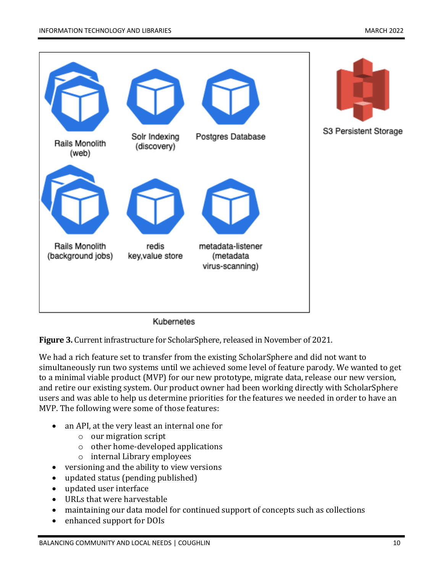

Kubernetes

**Figure 3.** Current infrastructure for ScholarSphere, released in November of 2021.

We had a rich feature set to transfer from the existing ScholarSphere and did not want to simultaneously run two systems until we achieved some level of feature parody. We wanted to get to a minimal viable product (MVP) for our new prototype, migrate data, release our new version, and retire our existing system. Our product owner had been working directly with ScholarSphere users and was able to help us determine priorities for the features we needed in order to have an MVP. The following were some of those features:

- an API, at the very least an internal one for
	- o our migration script
	- o other home-developed applications
	- o internal Library employees
- versioning and the ability to view versions
- updated status (pending published)
- updated user interface
- URLs that were harvestable
- maintaining our data model for continued support of concepts such as collections
- enhanced support for DOIs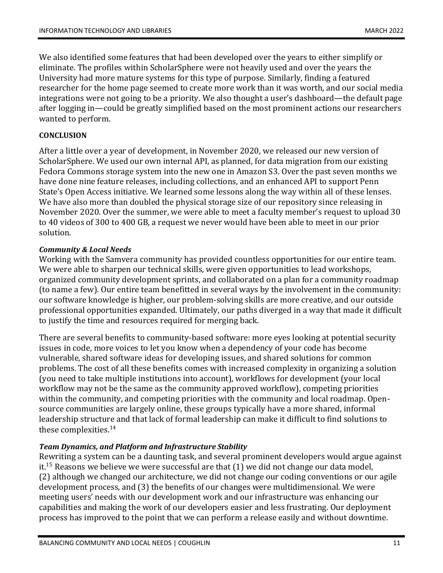We also identified some features that had been developed over the years to either simplify or eliminate. The profiles within ScholarSphere were not heavily used and over the years the University had more mature systems for this type of purpose. Similarly, finding a featured researcher for the home page seemed to create more work than it was worth, and our social media integrations were not going to be a priority. We also thought a user's dashboard—the default page after logging in—could be greatly simplified based on the most prominent actions our researchers wanted to perform.

#### **CONCLUSION**

After a little over a year of development, in November 2020, we released our new version of ScholarSphere. We used our own internal API, as planned, for data migration from our existing Fedora Commons storage system into the new one in Amazon S3. Over the past seven months we have done nine feature releases, including collections, and an enhanced API to support Penn State's Open Access initiative. We learned some lessons along the way within all of these lenses. We have also more than doubled the physical storage size of our repository since releasing in November 2020. Over the summer, we were able to meet a faculty member's request to upload 30 to 40 videos of 300 to 400 GB, a request we never would have been able to meet in our prior solution.

#### *Community & Local Needs*

Working with the Samvera community has provided countless opportunities for our entire team. We were able to sharpen our technical skills, were given opportunities to lead workshops, organized community development sprints, and collaborated on a plan for a community roadmap (to name a few). Our entire team benefitted in several ways by the involvement in the community: our software knowledge is higher, our problem-solving skills are more creative, and our outside professional opportunities expanded. Ultimately, our paths diverged in a way that made it difficult to justify the time and resources required for merging back.

There are several benefits to community-based software: more eyes looking at potential security issues in code, more voices to let you know when a dependency of your code has become vulnerable, shared software ideas for developing issues, and shared solutions for common problems. The cost of all these benefits comes with increased complexity in organizing a solution (you need to take multiple institutions into account), workflows for development (your local workflow may not be the same as the community approved workflow), competing priorities within the community, and competing priorities with the community and local roadmap. Opensource communities are largely online, these groups typically have a more shared, informal leadership structure and that lack of formal leadership can make it difficult to find solutions to these complexities. 14

## *Team Dynamics, and Platform and Infrastructure Stability*

Rewriting a system can be a daunting task, and several prominent developers would argue against it.<sup>15</sup> Reasons we believe we were successful are that  $(1)$  we did not change our data model, (2) although we changed our architecture, we did not change our coding conventions or our agile development process, and (3) the benefits of our changes were multidimensional. We were meeting users' needs with our development work and our infrastructure was enhancing our capabilities and making the work of our developers easier and less frustrating. Our deployment process has improved to the point that we can perform a release easily and without downtime.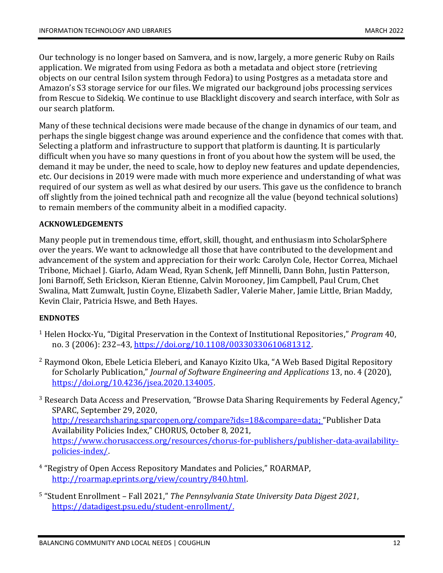Our technology is no longer based on Samvera, and is now, largely, a more generic Ruby on Rails application. We migrated from using Fedora as both a metadata and object store (retrieving objects on our central Isilon system through Fedora) to using Postgres as a metadata store and Amazon's S3 storage service for our files. We migrated our background jobs processing services from Rescue to Sidekiq. We continue to use Blacklight discovery and search interface, with Solr as our search platform.

Many of these technical decisions were made because of the change in dynamics of our team, and perhaps the single biggest change was around experience and the confidence that comes with that. Selecting a platform and infrastructure to support that platform is daunting. It is particularly difficult when you have so many questions in front of you about how the system will be used, the demand it may be under, the need to scale, how to deploy new features and update dependencies, etc. Our decisions in 2019 were made with much more experience and understanding of what was required of our system as well as what desired by our users. This gave us the confidence to branch off slightly from the joined technical path and recognize all the value (beyond technical solutions) to remain members of the community albeit in a modified capacity.

## **ACKNOWLEDGEMENTS**

Many people put in tremendous time, effort, skill, thought, and enthusiasm into ScholarSphere over the years. We want to acknowledge all those that have contributed to the development and advancement of the system and appreciation for their work: Carolyn Cole, Hector Correa, Michael Tribone, Michael J. Giarlo, Adam Wead, Ryan Schenk, Jeff Minnelli, Dann Bohn, Justin Patterson, Joni Barnoff, Seth Erickson, Kieran Etienne, Calvin Morooney, Jim Campbell, Paul Crum, Chet Swalina, Matt Zumwalt, Justin Coyne, Elizabeth Sadler, Valerie Maher, Jamie Little, Brian Maddy, Kevin Clair, Patricia Hswe, and Beth Hayes.

## **ENDNOTES**

- <sup>1</sup> Helen Hockx‐Yu, "Digital Preservation in the Context of Institutional Repositories," *Program* 40, no. 3 (2006): 232-43[, https://doi.org/10.1108/00330330610681312.](https://doi.org/10.1108/00330330610681312)
- $2$  Raymond Okon, Ebele Leticia Eleberi, and Kanayo Kizito Uka, "A Web Based Digital Repository for Scholarly Publication," *Journal of Software Engineering and Applications* 13, no. 4 (2020), [https://doi.org/10.4236/jsea.2020.134005.](https://doi.org/10.4236/jsea.2020.134005)
- <sup>3</sup> Research Data Access and Preservation, "Browse Data Sharing Requirements by Federal Agency," SPARC, September 29, 2020, [http://researchsharing.sparcopen.org/compare?ids=18&compare=data;](http://researchsharing.sparcopen.org/compare?ids=18&compare=data) "Publisher Data Availability Policies Index," CHORUS, October 8, 2021, [https://www.chorusaccess.org/resources/chorus-for-publishers/publisher-data-availability](https://www.chorusaccess.org/resources/chorus-for-publishers/publisher-data-availability-policies-index/)[policies-index/.](https://www.chorusaccess.org/resources/chorus-for-publishers/publisher-data-availability-policies-index/)
- 4 "Registry of Open Access Repository Mandates and Policies," ROARMAP, [http://roarmap.eprints.org/view/country/840.html.](http://roarmap.eprints.org/view/country/840.html)
- 5 "Student Enrollment Fall 2021," *The Pennsylvania State University Data Digest 2021*, [https://datadigest.psu.edu/student-enrollment/.](https://datadigest.psu.edu/student-enrollment/)